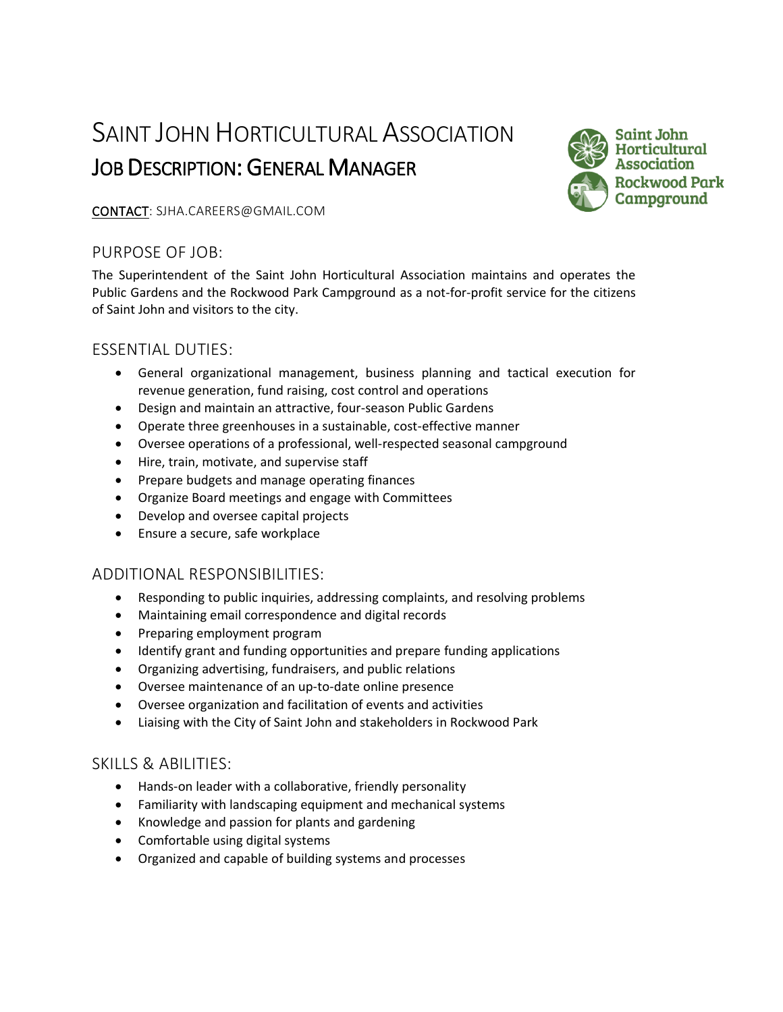# SAINT JOHN HORTICULTURAL ASSOCIATION JOB DESCRIPTION: GENERAL MANAGER



#### CONTACT: SJHA.CAREERS@GMAIL.COM

# PURPOSE OF JOB:

The Superintendent of the Saint John Horticultural Association maintains and operates the Public Gardens and the Rockwood Park Campground as a not-for-profit service for the citizens of Saint John and visitors to the city.

# ESSENTIAL DUTIES:

- General organizational management, business planning and tactical execution for revenue generation, fund raising, cost control and operations
- Design and maintain an attractive, four-season Public Gardens
- Operate three greenhouses in a sustainable, cost-effective manner
- Oversee operations of a professional, well-respected seasonal campground
- Hire, train, motivate, and supervise staff
- Prepare budgets and manage operating finances
- Organize Board meetings and engage with Committees
- Develop and oversee capital projects
- Ensure a secure, safe workplace

## ADDITIONAL RESPONSIBILITIES:

- Responding to public inquiries, addressing complaints, and resolving problems
- Maintaining email correspondence and digital records
- Preparing employment program
- Identify grant and funding opportunities and prepare funding applications
- Organizing advertising, fundraisers, and public relations
- Oversee maintenance of an up-to-date online presence
- Oversee organization and facilitation of events and activities
- Liaising with the City of Saint John and stakeholders in Rockwood Park

## SKILLS & ABILITIES:

- Hands-on leader with a collaborative, friendly personality
- Familiarity with landscaping equipment and mechanical systems
- Knowledge and passion for plants and gardening
- Comfortable using digital systems
- Organized and capable of building systems and processes